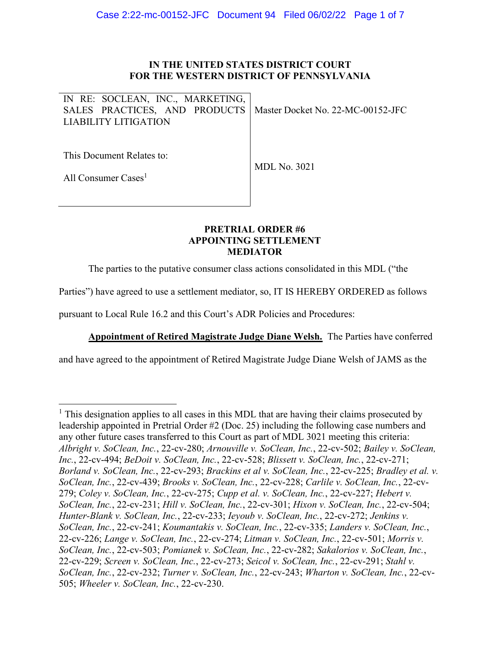## IN THE UNITED STATES DISTRICT COURT FOR THE WESTERN DISTRICT OF PENNSYLVANIA

IN RE: SOCLEAN, INC., MARKETING, SALES PRACTICES, AND PRODUCTS LIABILITY LITIGATION Master Docket No. 22-MC-00152-JFC

This Document Relates to:

MDL No. 3021

All Consumer Cases<sup>1</sup>

## **PRETRIAL** ORDER **#6** APPOINTING SETTLEMENT MEDIATOR

The parties to the putative consumer class actions consolidated in this MDL ("the

Parties") have agreed to use a settlement mediator, so, IT IS HEREBY ORDERED as follows

pursuant to Local Rule 16.2 and this Court's ADR Policies and Procedures:

Appointment of Retired Magistrate Judge Diane Welsh. The Parties have conferred

and have agreed to the appointment of Retired Magistrate Judge Diane Welsh of JAMS as the

<sup>&</sup>lt;sup>1</sup> This designation applies to all cases in this MDL that are having their claims prosecuted by leadership appointed in Pretrial Order #2 (Doc. 25) including the following case numbers and any other future cases transferred to this Court as part of MDL 3021 meeting this criteria: Albright v. SoClean, Inc., 22-cv-280; Arnouville v. SoClean, Inc., 22-cv-502; Bailey v. SoClean, Inc., 22-cv-494; BeDoit v. SoClean, Inc., 22-cv-528; Blissett v. SoClean, Inc., 22-cv-271; Borland v. SoClean, Inc., 22-cv-293; Brackins et al v. SoClean, Inc., 22-cv-225; Bradley et al. v. SoClean, Inc., 22-cv-439; Brooks v. SoClean, Inc., 22-cv-228; Carlile v. SoClean, Inc., 22-cv-279; Coley v. SoClean, Inc., 22-cv-275; Cupp et al. v. SoClean, Inc., 22-cv-227; Hebert v. SoClean, Inc., 22-cv-231; Hill v. SoClean, Inc., 22-cv-301; Hixon v. SoClean, Inc., 22-cv-504; Hunter-Blank v. SoClean, Inc., 22-cv-233; Ieyoub v. SoClean, Inc., 22-cv-272; Jenkins v. SoClean, Inc., 22-cv-241; Koumantakis v. SoClean, Inc., 22-cv-335; Landers v. SoClean, Inc., 22-cv-226; Lange v. SoClean, Inc., 22-cv-274; Litman v. SoClean, Inc., 22-cv-501; Morris v. SoClean, Inc., 22-cv-503; Pomianek v. SoClean, Inc., 22-cv-282; Sakalorios v. SoClean, Inc., 22-cv-229; Screen v. SoClean, Inc., 22-cv-273; Seicol v. SoClean, Inc., 22-cv-291; Stahl v. SoClean, Inc., 22-cv-232; Turner v. SoClean, Inc., 22-cv-243; Wharton v. SoClean, Inc., 22-cv-505; Wheeler v. SoClean, Inc., 22-cv-230.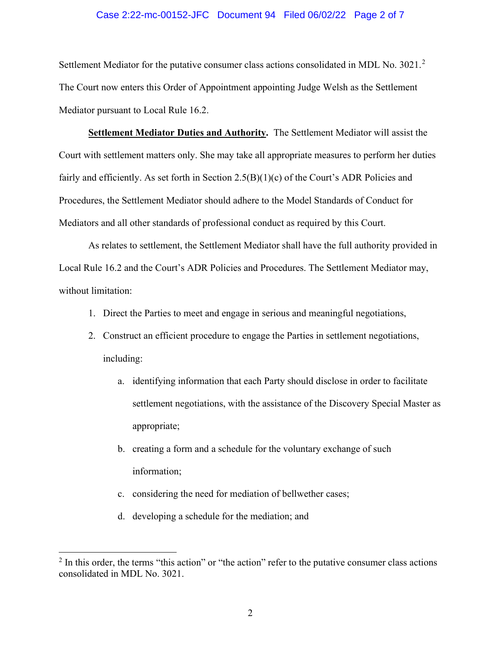## Case 2:22-mc-00152-JFC Document 94 Filed 06/02/22 Page 2 of 7

Settlement Mediator for the putative consumer class actions consolidated in MDL No. 3021.<sup>2</sup> The Court now enters this Order of Appointment appointing Judge Welsh as the Settlement Mediator pursuant to Local Rule 16.2.

Settlement Mediator Duties and Authority. The Settlement Mediator will assist the Court with settlement matters only. She may take all appropriate measures to perform her duties fairly and efficiently. As set forth in Section  $2.5(B)(1)(c)$  of the Court's ADR Policies and Procedures, the Settlement Mediator should adhere to the Model Standards of Conduct for Mediators and all other standards of professional conduct as required by this Court.

As relates to settlement, the Settlement Mediator shall have the full authority provided in Local Rule 16.2 and the Court's ADR Policies and Procedures. The Settlement Mediator may, without limitation:

- 1. Direct the Parties to meet and engage in serious and meaningful negotiations,
- 2. Construct an efficient procedure to engage the Parties in settlement negotiations, including:
	- a. identifying information that each Party should disclose in order to facilitate settlement negotiations, with the assistance of the Discovery Special Master as appropriate;
	- b. creating a form and a schedule for the voluntary exchange of such information;
	- c. considering the need for mediation of bellwether cases;
	- d. developing a schedule for the mediation; and

 $2 \text{ In this order, the terms "this action" or "the action" refer to the putative consumer class actions"$ consolidated in MDL No. 3021.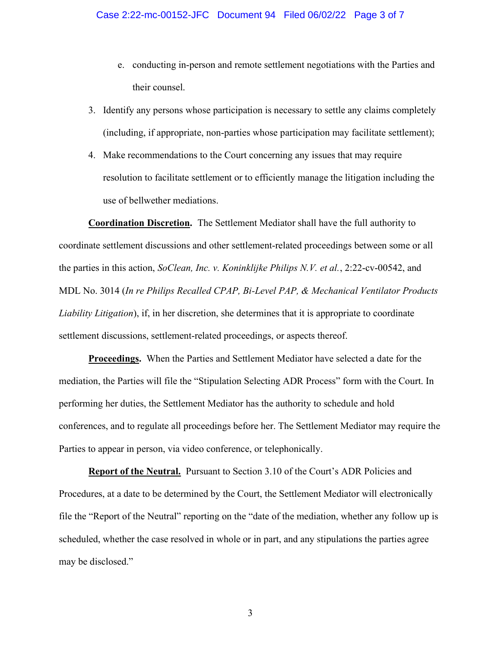- e. conducting in-person and remote settlement negotiations with the Parties and their counsel.
- 3. Identify any persons whose participation is necessary to settle any claims completely (including, if appropriate, non-parties whose participation may facilitate settlement);
- 4. Make recommendations to the Court concerning any issues that may require resolution to facilitate settlement or to efficiently manage the litigation including the use of bellwether mediations.

Coordination Discretion. The Settlement Mediator shall have the full authority to coordinate settlement discussions and other settlement-related proceedings between some or all the parties in this action, SoClean, Inc. v. Koninklijke Philips N.V. et al., 2:22-cv-00542, and MDL No. 3014 (In re Philips Recalled CPAP, Bi-Level PAP, & Mechanical Ventilator Products Liability Litigation), if, in her discretion, she determines that it is appropriate to coordinate settlement discussions, settlement-related proceedings, or aspects thereof.

Proceedings. When the Parties and Settlement Mediator have selected a date for the mediation, the Parties will file the "Stipulation Selecting ADR Process" form with the Court. In performing her duties, the Settlement Mediator has the authority to schedule and hold conferences, and to regulate all proceedings before her. The Settlement Mediator may require the Parties to appear in person, via video conference, or telephonically.

Report of the Neutral. Pursuant to Section 3.10 of the Court's ADR Policies and Procedures, at a date to be determined by the Court, the Settlement Mediator will electronically file the "Report of the Neutral" reporting on the "date of the mediation, whether any follow up is scheduled, whether the case resolved in whole or in part, and any stipulations the parties agree may be disclosed."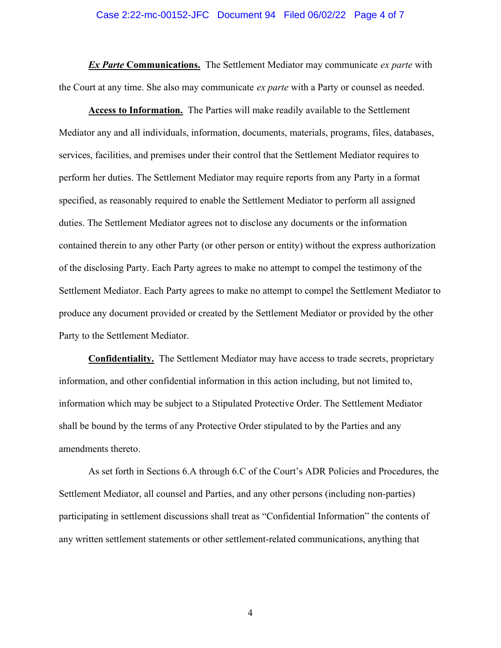#### Case 2:22-mc-00152-JFC Document 94 Filed 06/02/22 Page 4 of 7

**Ex Parte Communications.** The Settlement Mediator may communicate ex parte with the Court at any time. She also may communicate *ex parte* with a Party or counsel as needed.

Access to Information. The Parties will make readily available to the Settlement Mediator any and all individuals, information, documents, materials, programs, files, databases, services, facilities, and premises under their control that the Settlement Mediator requires to perform her duties. The Settlement Mediator may require reports from any Party in a format specified, as reasonably required to enable the Settlement Mediator to perform all assigned duties. The Settlement Mediator agrees not to disclose any documents or the information contained therein to any other Party (or other person or entity) without the express authorization of the disclosing Party. Each Party agrees to make no attempt to compel the testimony of the Settlement Mediator. Each Party agrees to make no attempt to compel the Settlement Mediator to produce any document provided or created by the Settlement Mediator or provided by the other Party to the Settlement Mediator.

Confidentiality. The Settlement Mediator may have access to trade secrets, proprietary information, and other confidential information in this action including, but not limited to, information which may be subject to a Stipulated Protective Order. The Settlement Mediator shall be bound by the terms of any Protective Order stipulated to by the Parties and any amendments thereto.

As set forth in Sections 6.A through 6.C of the Court's ADR Policies and Procedures, the Settlement Mediator, all counsel and Parties, and any other persons (including non-parties) participating in settlement discussions shall treat as "Confidential Information" the contents of any written settlement statements or other settlement-related communications, anything that

4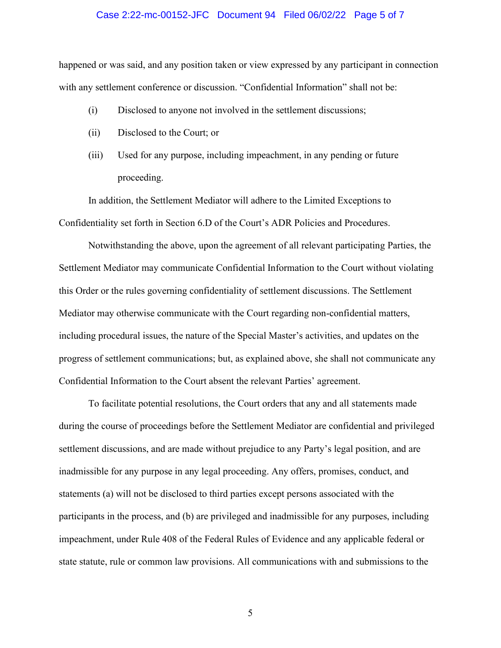#### Case 2:22-mc-00152-JFC Document 94 Filed 06/02/22 Page 5 of 7

happened or was said, and any position taken or view expressed by any participant in connection with any settlement conference or discussion. "Confidential Information" shall not be:

- (i) Disclosed to anyone not involved in the settlement discussions;
- (ii) Disclosed to the Court; or
- (iii) Used for any purpose, including impeachment, in any pending or future proceeding.

In addition, the Settlement Mediator will adhere to the Limited Exceptions to Confidentiality set forth in Section 6.D of the Court's ADR Policies and Procedures.

Notwithstanding the above, upon the agreement of all relevant participating Parties, the Settlement Mediator may communicate Confidential Information to the Court without violating this Order or the rules governing confidentiality of settlement discussions. The Settlement Mediator may otherwise communicate with the Court regarding non-confidential matters, including procedural issues, the nature of the Special Master's activities, and updates on the progress of settlement communications; but, as explained above, she shall not communicate any Confidential Information to the Court absent the relevant Parties' agreement.

To facilitate potential resolutions, the Court orders that any and all statements made during the course of proceedings before the Settlement Mediator are confidential and privileged settlement discussions, and are made without prejudice to any Party's legal position, and are inadmissible for any purpose in any legal proceeding. Any offers, promises, conduct, and statements (a) will not be disclosed to third parties except persons associated with the participants in the process, and (b) are privileged and inadmissible for any purposes, including impeachment, under Rule 408 of the Federal Rules of Evidence and any applicable federal or state statute, rule or common law provisions. All communications with and submissions to the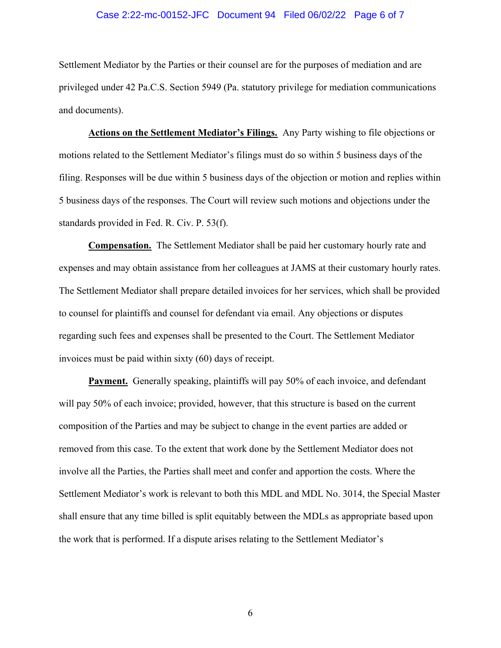## Case 2:22-mc-00152-JFC Document 94 Filed 06/02/22 Page 6 of 7

Settlement Mediator by the Parties or their counsel are for the purposes of mediation and are privileged under 42 Pa.C.S. Section 5949 (Pa. statutory privilege for mediation communications and documents).

Actions on the Settlement Mediator's Filings. Any Party wishing to file objections or motions related to the Settlement Mediator's filings must do so within 5 business days of the filing. Responses will be due within 5 business days of the objection or motion and replies within 5 business days of the responses. The Court will review such motions and objections under the standards provided in Fed. R. Civ. P. 53(f).

Compensation. The Settlement Mediator shall be paid her customary hourly rate and expenses and may obtain assistance from her colleagues at JAMS at their customary hourly rates. The Settlement Mediator shall prepare detailed invoices for her services, which shall be provided to counsel for plaintiffs and counsel for defendant via email. Any objections or disputes regarding such fees and expenses shall be presented to the Court. The Settlement Mediator invoices must be paid within sixty (60) days of receipt.

**Payment.** Generally speaking, plaintiffs will pay 50% of each invoice, and defendant will pay 50% of each invoice; provided, however, that this structure is based on the current composition of the Parties and may be subject to change in the event parties are added or removed from this case. To the extent that work done by the Settlement Mediator does not involve all the Parties, the Parties shall meet and confer and apportion the costs. Where the Settlement Mediator's work is relevant to both this MDL and MDL No. 3014, the Special Master shall ensure that any time billed is split equitably between the MDLs as appropriate based upon the work that is performed. If a dispute arises relating to the Settlement Mediator's

6